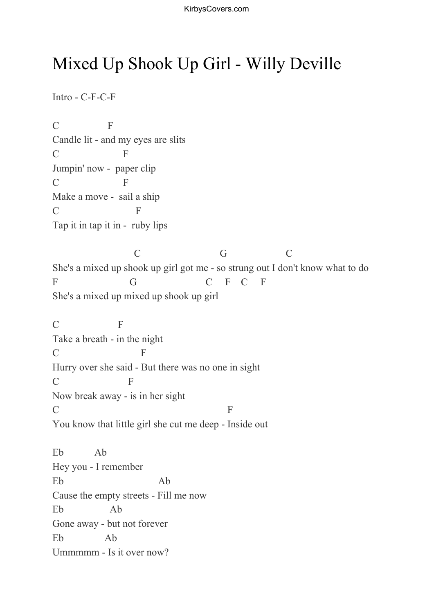## Mixed Up Shook Up Girl - Willy Deville

Intro - C-F-C-F

C F Candle lit - and my eyes are slits C F Jumpin' now - paper clip C F Make a move - sail a ship C F Tap it in tap it in - ruby lips C G C She's a mixed up shook up girl got me - so strung out I don't know what to do F G G C F C F She's a mixed up mixed up shook up girl C F Take a breath - in the night C F Hurry over she said - But there was no one in sight C F Now break away - is in her sight  $\Gamma$  F You know that little girl she cut me deep - Inside out Eb Ab

Hey you - I remember Eb Ab Cause the empty streets - Fill me now Eb Ab Gone away - but not forever Eb Ab Ummmmm - Is it over now?